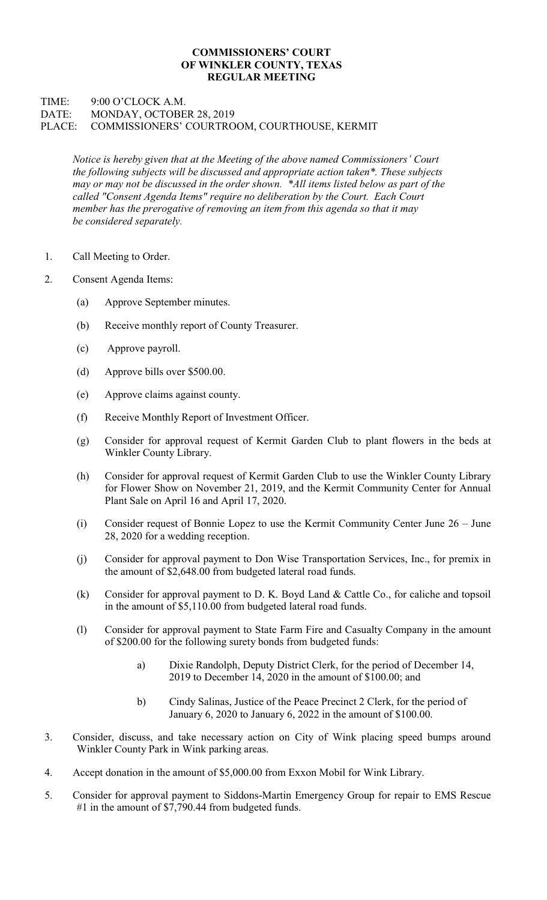## COMMISSIONERS' COURT OF WINKLER COUNTY, TEXAS REGULAR MEETING

## TIME: 9:00 O'CLOCK A.M. DATE: MONDAY, OCTOBER 28, 2019 PLACE: COMMISSIONERS' COURTROOM, COURTHOUSE, KERMIT

Notice is hereby given that at the Meeting of the above named Commissioners' Court the following subjects will be discussed and appropriate action taken\*. These subjects may or may not be discussed in the order shown. \*All items listed below as part of the called "Consent Agenda Items" require no deliberation by the Court. Each Court member has the prerogative of removing an item from this agenda so that it may be considered separately.

- 1. Call Meeting to Order.
- 2. Consent Agenda Items:
	- (a) Approve September minutes.
	- (b) Receive monthly report of County Treasurer.
	- (c) Approve payroll.
	- (d) Approve bills over \$500.00.
	- (e) Approve claims against county.
	- (f) Receive Monthly Report of Investment Officer.
	- (g) Consider for approval request of Kermit Garden Club to plant flowers in the beds at Winkler County Library.
	- (h) Consider for approval request of Kermit Garden Club to use the Winkler County Library for Flower Show on November 21, 2019, and the Kermit Community Center for Annual Plant Sale on April 16 and April 17, 2020.
	- (i) Consider request of Bonnie Lopez to use the Kermit Community Center June 26 June 28, 2020 for a wedding reception.
	- (j) Consider for approval payment to Don Wise Transportation Services, Inc., for premix in the amount of \$2,648.00 from budgeted lateral road funds.
	- (k) Consider for approval payment to D. K. Boyd Land & Cattle Co., for caliche and topsoil in the amount of \$5,110.00 from budgeted lateral road funds.
	- (l) Consider for approval payment to State Farm Fire and Casualty Company in the amount of \$200.00 for the following surety bonds from budgeted funds:
		- a) Dixie Randolph, Deputy District Clerk, for the period of December 14, 2019 to December 14, 2020 in the amount of \$100.00; and
		- b) Cindy Salinas, Justice of the Peace Precinct 2 Clerk, for the period of January 6, 2020 to January 6, 2022 in the amount of \$100.00.
- 3. Consider, discuss, and take necessary action on City of Wink placing speed bumps around Winkler County Park in Wink parking areas.
- 4. Accept donation in the amount of \$5,000.00 from Exxon Mobil for Wink Library.
- 5. Consider for approval payment to Siddons-Martin Emergency Group for repair to EMS Rescue #1 in the amount of \$7,790.44 from budgeted funds.